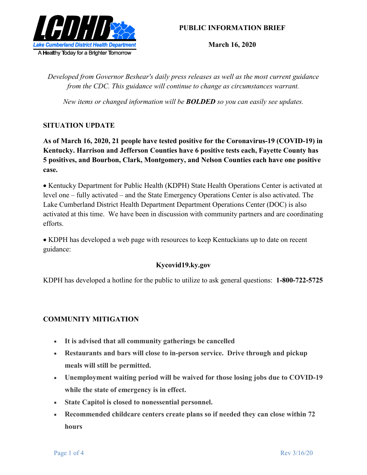

## **PUBLIC INFORMATION BRIEF**

**March 16, 2020**

*Developed from Governor Beshear's daily press releases as well as the most current guidance from the CDC. This guidance will continue to change as circumstances warrant.*

*New items or changed information will be BOLDED so you can easily see updates.*

## **SITUATION UPDATE**

**As of March 16, 2020, 21 people have tested positive for the Coronavirus-19 (COVID-19) in Kentucky. Harrison and Jefferson Counties have 6 positive tests each, Fayette County has 5 positives, and Bourbon, Clark, Montgomery, and Nelson Counties each have one positive case.** 

• Kentucky Department for Public Health (KDPH) State Health Operations Center is activated at level one – fully activated – and the State Emergency Operations Center is also activated. The Lake Cumberland District Health Department Department Operations Center (DOC) is also activated at this time. We have been in discussion with community partners and are coordinating efforts.

 KDPH has developed a web page with resources to keep Kentuckians up to date on recent guidance:

## **Kycovid19.ky.gov**

KDPH has developed a hotline for the public to utilize to ask general questions: **1-800-722-5725**

## **COMMUNITY MITIGATION**

- **It is advised that all community gatherings be cancelled**
- **Restaurants and bars will close to in-person service. Drive through and pickup meals will still be permitted.**
- **Unemployment waiting period will be waived for those losing jobs due to COVID-19 while the state of emergency is in effect.**
- **State Capitol is closed to nonessential personnel.**
- **Recommended childcare centers create plans so if needed they can close within 72 hours**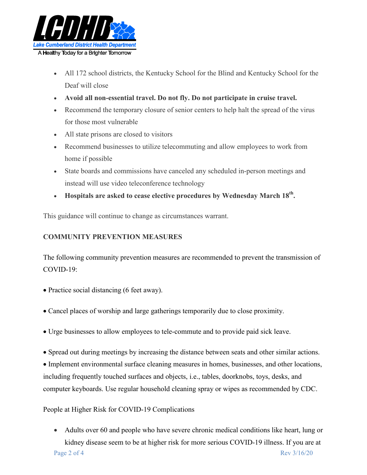

- All 172 school districts, the Kentucky School for the Blind and Kentucky School for the Deaf will close
- **Avoid all non-essential travel. Do not fly. Do not participate in cruise travel.**
- Recommend the temporary closure of senior centers to help halt the spread of the virus for those most vulnerable
- All state prisons are closed to visitors
- Recommend businesses to utilize telecommuting and allow employees to work from home if possible
- State boards and commissions have canceled any scheduled in-person meetings and instead will use video teleconference technology
- **Hospitals are asked to cease elective procedures by Wednesday March 18th.**

This guidance will continue to change as circumstances warrant.

## **COMMUNITY PREVENTION MEASURES**

The following community prevention measures are recommended to prevent the transmission of COVID-19:

- Practice social distancing (6 feet away).
- Cancel places of worship and large gatherings temporarily due to close proximity.
- Urge businesses to allow employees to tele-commute and to provide paid sick leave.
- Spread out during meetings by increasing the distance between seats and other similar actions.

 Implement environmental surface cleaning measures in homes, businesses, and other locations, including frequently touched surfaces and objects, i.e., tables, doorknobs, toys, desks, and computer keyboards. Use regular household cleaning spray or wipes as recommended by CDC.

## People at Higher Risk for COVID-19 Complications

Page 2 of 4 Rev 3/16/20 Adults over 60 and people who have severe chronic medical conditions like heart, lung or kidney disease seem to be at higher risk for more serious COVID-19 illness. If you are at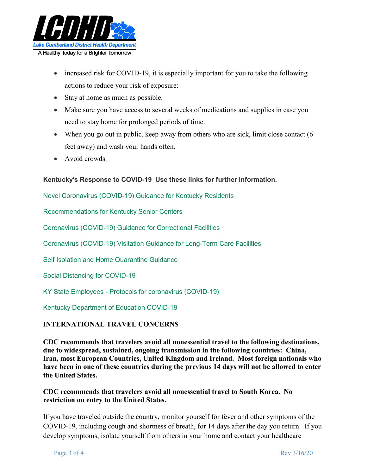

- increased risk for COVID-19, it is especially important for you to take the following actions to reduce your risk of exposure:
- Stay at home as much as possible.
- Make sure you have access to several weeks of medications and supplies in case you need to stay home for prolonged periods of time.
- When you go out in public, keep away from others who are sick, limit close contact (6 feet away) and wash your hands often.
- Avoid crowds.

## **Kentucky's Response to COVID-19 Use these links for further information.**

Novel Coronavirus (COVID-19) Guidance for Kentucky Residents

Recommendations for Kentucky Senior Centers

Coronavirus (COVID-19) Guidance for Correctional Facilities

Coronavirus (COVID-19) Visitation Guidance for Long-Term Care Facilities

Self Isolation and Home Quarantine Guidance

Social Distancing for COVID-19

KY State Employees - Protocols for coronavirus (COVID-19)

Kentucky Department of Education COVID-19

## **INTERNATIONAL TRAVEL CONCERNS**

**CDC recommends that travelers avoid all nonessential travel to the following destinations, due to widespread, sustained, ongoing transmission in the following countries: China, Iran, most European Countries, United Kingdom and Ireland. Most foreign nationals who have been in one of these countries during the previous 14 days will not be allowed to enter the United States.**

## **CDC recommends that travelers avoid all nonessential travel to South Korea. No restriction on entry to the United States.**

If you have traveled outside the country, monitor yourself for fever and other symptoms of the COVID-19, including cough and shortness of breath, for 14 days after the day you return. If you develop symptoms, isolate yourself from others in your home and contact your healthcare